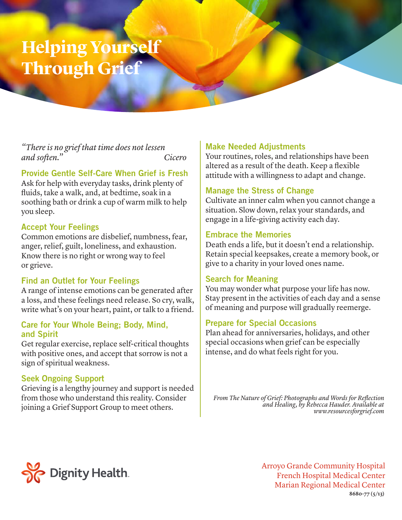## **Helping Yourself Through Grief**

*"There is no grief that time does not lessen and soften." Cicero*

## Provide Gentle Self-Care When Grief is Fresh

Ask for help with everyday tasks, drink plenty of fluids, take a walk, and, at bedtime, soak in a soothing bath or drink a cup of warm milk to help you sleep.

## Accept Your Feelings

Common emotions are disbelief, numbness, fear, anger, relief, guilt, loneliness, and exhaustion. Know there is no right or wrong way to feel or grieve.

## Find an Outlet for Your Feelings

A range of intense emotions can be generated after a loss, and these feelings need release. So cry, walk, write what's on your heart, paint, or talk to a friend.

#### Care for Your Whole Being; Body, Mind, and Spirit

Get regular exercise, replace self-critical thoughts with positive ones, and accept that sorrow is not a sign of spiritual weakness.

## Seek Ongoing Support

Grieving is a lengthy journey and support is needed from those who understand this reality. Consider joining a Grief Support Group to meet others.

## Make Needed Adjustments

Your routines, roles, and relationships have been altered as a result of the death. Keep a flexible attitude with a willingness to adapt and change.

#### Manage the Stress of Change

Cultivate an inner calm when you cannot change a situation. Slow down, relax your standards, and engage in a life-giving activity each day.

#### Embrace the Memories

Death ends a life, but it doesn't end a relationship. Retain special keepsakes, create a memory book, or give to a charity in your loved ones name.

#### Search for Meaning

You may wonder what purpose your life has now. Stay present in the activities of each day and a sense of meaning and purpose will gradually reemerge.

#### Prepare for Special Occasions

Plan ahead for anniversaries, holidays, and other special occasions when grief can be especially intense, and do what feels right for you.

From The Nature of Grief: Photographs and Words for Reflection *and Healing, by Rebecca Hauder. Available at www.resourcesforgrief.com*



Arroyo Grande Community Hospital French Hospital Medical Center Marian Regional Medical Center **8680-77 (5/13)**